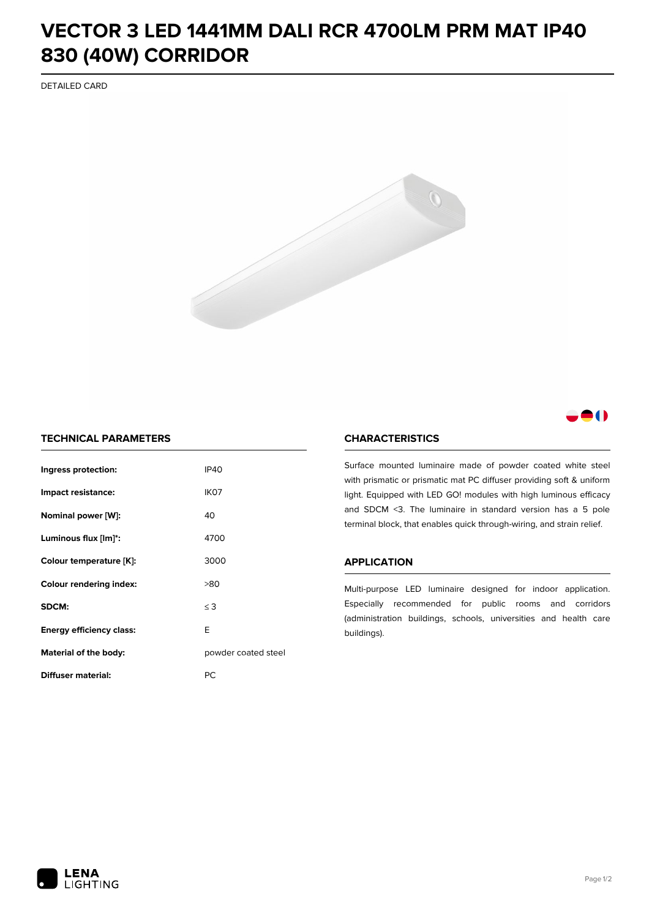## **VECTOR 3 LED 1441MM DALI RCR 4700LM PRM MAT IP40 830 (40W) CORRIDOR**

DETAILED CARD



## 8 O

## **TECHNICAL PARAMETERS**

| Ingress protection:                  | <b>IP40</b>         |  |
|--------------------------------------|---------------------|--|
| Impact resistance:                   | IK <sub>07</sub>    |  |
| Nominal power [W]:                   | 40                  |  |
| Luminous flux [lm]*:                 | 4700                |  |
| Colour temperature [K]:              | 3000                |  |
| <b>Colour rendering index:</b>       | >80                 |  |
| SDCM:                                | $\leq$ 3            |  |
| E<br><b>Energy efficiency class:</b> |                     |  |
| Material of the body:                | powder coated steel |  |
| Diffuser material:                   | РC                  |  |

## **CHARACTERISTICS**

Surface mounted luminaire made of powder coated white steel with prismatic or prismatic mat PC diffuser providing soft & uniform light. Equipped with LED GO! modules with high luminous efficacy and SDCM <3. The luminaire in standard version has a 5 pole terminal block, that enables quick through-wiring, and strain relief.

#### **APPLICATION**

Multi-purpose LED luminaire designed for indoor application. Especially recommended for public rooms and corridors (administration buildings, schools, universities and health care buildings).